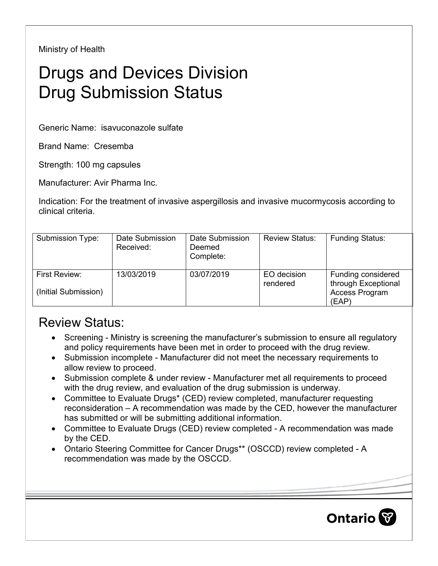Ministry of Health

## Drugs and Devices Division Drug Submission Status

Generic Name: isavuconazole sulfate

Brand Name: Cresemba

Strength: 100 mg capsules

Manufacturer: Avir Pharma Inc.

Indication: For the treatment of invasive aspergillosis and invasive mucormycosis according to clinical criteria.

| Submission Type:                      | Date Submission<br>Received: | Date Submission<br>Deemed<br>Complete: | <b>Review Status:</b>   | <b>Funding Status:</b>                                               |
|---------------------------------------|------------------------------|----------------------------------------|-------------------------|----------------------------------------------------------------------|
| First Review:<br>(Initial Submission) | 13/03/2019                   | 03/07/2019                             | EO decision<br>rendered | Funding considered<br>through Exceptional<br>Access Program<br>(EAP) |

## Review Status:

- Screening Ministry is screening the manufacturer's submission to ensure all regulatory and policy requirements have been met in order to proceed with the drug review.
- Submission incomplete Manufacturer did not meet the necessary requirements to allow review to proceed.
- Submission complete & under review Manufacturer met all requirements to proceed with the drug review, and evaluation of the drug submission is underway.
- Committee to Evaluate Drugs\* (CED) review completed, manufacturer requesting reconsideration – A recommendation was made by the CED, however the manufacturer has submitted or will be submitting additional information.
- Committee to Evaluate Drugs (CED) review completed A recommendation was made by the CED.
- Ontario Steering Committee for Cancer Drugs\*\* (OSCCD) review completed A recommendation was made by the OSCCD.